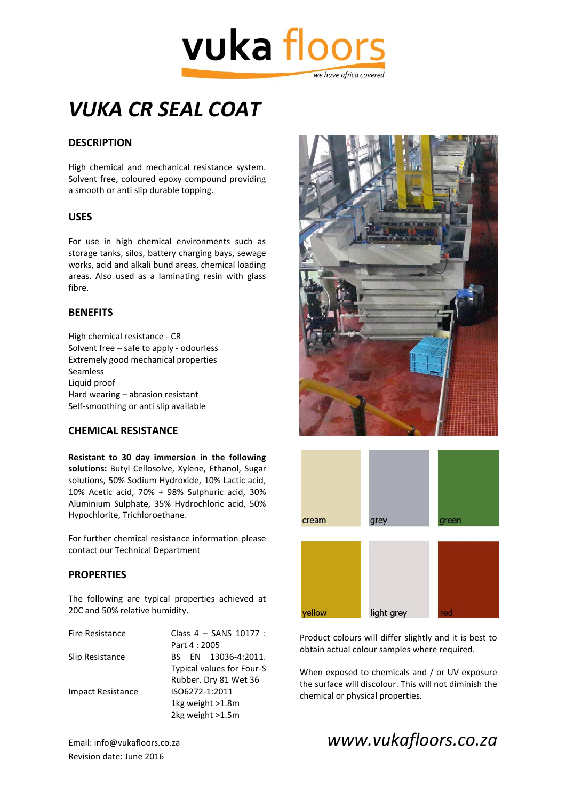

## *VUKA CR SEAL COAT*

#### **DESCRIPTION**

High chemical and mechanical resistance system. Solvent free, coloured epoxy compound providing a smooth or anti slip durable topping.

#### **USES**

For use in high chemical environments such as storage tanks, silos, battery charging bays, sewage works, acid and alkali bund areas, chemical loading areas. Also used as a laminating resin with glass fibre.

#### **BENEFITS**

High chemical resistance - CR Solvent free – safe to apply - odourless Extremely good mechanical properties Seamless Liquid proof Hard wearing – abrasion resistant Self-smoothing or anti slip available

#### **CHEMICAL RESISTANCE**

**Resistant to 30 day immersion in the following solutions:** Butyl Cellosolve, Xylene, Ethanol, Sugar solutions, 50% Sodium Hydroxide, 10% Lactic acid, 10% Acetic acid, 70% + 98% Sulphuric acid, 30% Aluminium Sulphate, 35% Hydrochloric acid, 50% Hypochlorite, Trichloroethane.

For further chemical resistance information please contact our Technical Department

#### **PROPERTIES**

The following are typical properties achieved at 20C and 50% relative humidity.

| Class $4 -$ SANS 10177 :  |
|---------------------------|
| Part 4:2005               |
| BS EN 13036-4:2011.       |
| Typical values for Four-S |
| Rubber. Dry 81 Wet 36     |
| ISO6272-1:2011            |
| 1kg weight >1.8m          |
| 2kg weight >1.5m          |
|                           |





Product colours will differ slightly and it is best to obtain actual colour samples where required.

When exposed to chemicals and / or UV exposure the surface will discolour. This will not diminish the chemical or physical properties.

Revision date: June 2016

Email: info@vukafloors.co.za *www.vukafloors.co.za*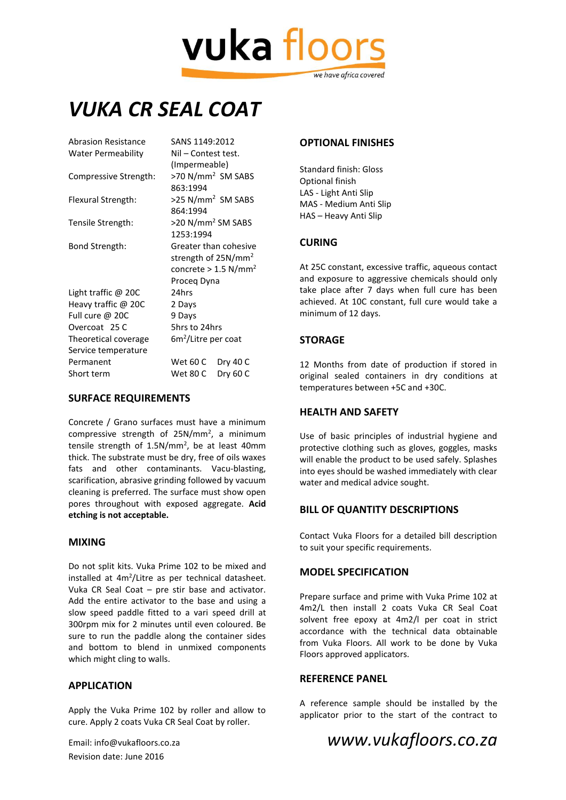# vuka floor we have africa covered

### *VUKA CR SEAL COAT*

| Abrasion Resistance   | SANS 1149:2012                     |
|-----------------------|------------------------------------|
| Water Permeability    | Nil – Contest test.                |
|                       | (Impermeable)                      |
| Compressive Strength: | >70 N/mm <sup>2</sup> SM SABS      |
|                       | 863:1994                           |
| Flexural Strength:    | >25 N/mm <sup>2</sup> SM SABS      |
|                       | 864:1994                           |
| Tensile Strength:     | >20 N/mm <sup>2</sup> SM SABS      |
|                       | 1253:1994                          |
| Bond Strength:        | Greater than cohesive              |
|                       | strength of 25N/mm <sup>2</sup>    |
|                       | concrete > $1.5$ N/mm <sup>2</sup> |
|                       | Proceg Dyna                        |
| Light traffic $@$ 20C | 24hrs                              |
| Heavy traffic @ 20C   | 2 Days                             |
| Full cure @ 20C       | 9 Days                             |
| Overcoat 25 C         | 5hrs to 24hrs                      |
| Theoretical coverage  | $6m2/$ Litre per coat              |
| Service temperature   |                                    |
| Permanent             | Wet 60 C<br>Dry 40 C               |
| Short term            | Dry 60 C<br>Wet 80 C               |
|                       |                                    |

#### **SURFACE REQUIREMENTS**

Concrete / Grano surfaces must have a minimum compressive strength of 25N/mm<sup>2</sup>, a minimum tensile strength of 1.5N/mm<sup>2</sup>, be at least 40mm thick. The substrate must be dry, free of oils waxes fats and other contaminants. Vacu-blasting, scarification, abrasive grinding followed by vacuum cleaning is preferred. The surface must show open pores throughout with exposed aggregate. **Acid etching is not acceptable.**

#### **MIXING**

Do not split kits. Vuka Prime 102 to be mixed and installed at 4m<sup>2</sup>/Litre as per technical datasheet. Vuka CR Seal Coat – pre stir base and activator. Add the entire activator to the base and using a slow speed paddle fitted to a vari speed drill at 300rpm mix for 2 minutes until even coloured. Be sure to run the paddle along the container sides and bottom to blend in unmixed components which might cling to walls.

#### **APPLICATION**

Apply the Vuka Prime 102 by roller and allow to cure. Apply 2 coats Vuka CR Seal Coat by roller.

### **OPTIONAL FINISHES**

Standard finish: Gloss Optional finish LAS - Light Anti Slip MAS - Medium Anti Slip HAS – Heavy Anti Slip

#### **CURING**

At 25C constant, excessive traffic, aqueous contact and exposure to aggressive chemicals should only take place after 7 days when full cure has been achieved. At 10C constant, full cure would take a minimum of 12 days.

#### **STORAGE**

12 Months from date of production if stored in original sealed containers in dry conditions at temperatures between +5C and +30C.

#### **HEALTH AND SAFETY**

Use of basic principles of industrial hygiene and protective clothing such as gloves, goggles, masks will enable the product to be used safely. Splashes into eyes should be washed immediately with clear water and medical advice sought.

#### **BILL OF QUANTITY DESCRIPTIONS**

Contact Vuka Floors for a detailed bill description to suit your specific requirements.

#### **MODEL SPECIFICATION**

Prepare surface and prime with Vuka Prime 102 at 4m2/L then install 2 coats Vuka CR Seal Coat solvent free epoxy at 4m2/l per coat in strict accordance with the technical data obtainable from Vuka Floors. All work to be done by Vuka Floors approved applicators.

#### **REFERENCE PANEL**

A reference sample should be installed by the applicator prior to the start of the contract to

### Email: info@vukafloors.co.za *www.vukafloors.co.za*

Revision date: June 2016